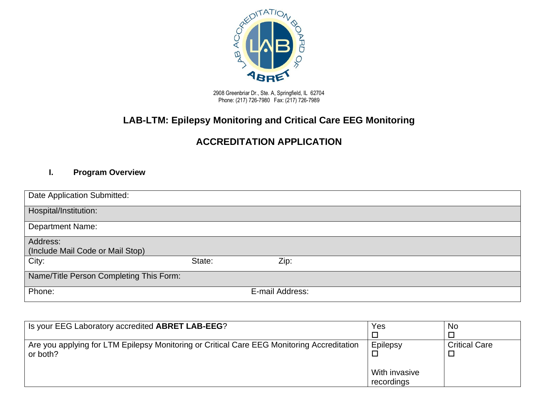

2908 Greenbriar Dr., Ste. A, Springfield, IL 62704 Phone: (217) 726-7980 Fax: (217) 726-7989

# **LAB-LTM: Epilepsy Monitoring and Critical Care EEG Monitoring**

# **ACCREDITATION APPLICATION**

#### **I. Program Overview**

| Date Application Submitted:             |        |                 |  |
|-----------------------------------------|--------|-----------------|--|
|                                         |        |                 |  |
| Hospital/Institution:                   |        |                 |  |
|                                         |        |                 |  |
| <b>Department Name:</b>                 |        |                 |  |
|                                         |        |                 |  |
| Address:                                |        |                 |  |
| (Include Mail Code or Mail Stop)        |        |                 |  |
| City:                                   | State: | Zip:            |  |
|                                         |        |                 |  |
| Name/Title Person Completing This Form: |        |                 |  |
|                                         |        |                 |  |
| Phone:                                  |        | E-mail Address: |  |
|                                         |        |                 |  |

| Is your EEG Laboratory accredited ABRET LAB-EEG?                                                       | Yes           | No                   |
|--------------------------------------------------------------------------------------------------------|---------------|----------------------|
|                                                                                                        |               |                      |
| Are you applying for LTM Epilepsy Monitoring or Critical Care EEG Monitoring Accreditation<br>or both? | Epilepsy      | <b>Critical Care</b> |
|                                                                                                        | With invasive |                      |
|                                                                                                        | recordings    |                      |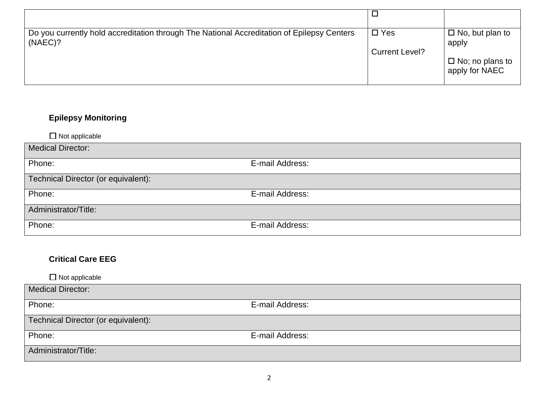| Do you currently hold accreditation through The National Accreditation of Epilepsy Centers<br>(NAEC)? | $\square$ Yes<br><b>Current Level?</b> | $\Box$ No, but plan to<br>apply          |
|-------------------------------------------------------------------------------------------------------|----------------------------------------|------------------------------------------|
|                                                                                                       |                                        | $\Box$ No; no plans to<br>apply for NAEC |

# **Epilepsy Monitoring**

 $\Pi$  Not applicable

| $\equiv$ $\cdots$ $\sim$ $\sim$ $\sim$ $\sim$ $\sim$ $\sim$ |                 |
|-------------------------------------------------------------|-----------------|
| <b>Medical Director:</b>                                    |                 |
| Phone:                                                      | E-mail Address: |
| Technical Director (or equivalent):                         |                 |
| Phone:                                                      | E-mail Address: |
| Administrator/Title:                                        |                 |
| Phone:                                                      | E-mail Address: |

### **Critical Care EEG**

 $\Box$  Not applicable Medical Director: Phone: E-mail Address: Technical Director (or equivalent): Phone: E-mail Address: Administrator/Title: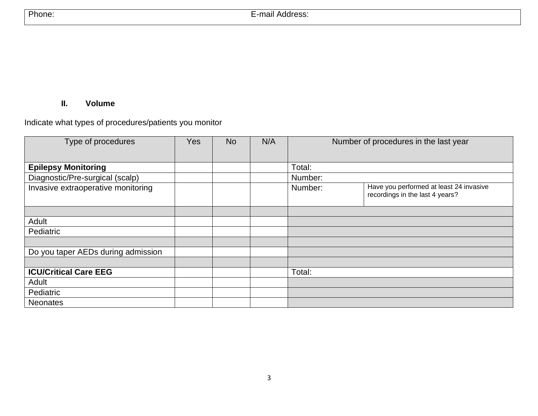### **II. Volume**

Indicate what types of procedures/patients you monitor

| Type of procedures                 | Yes | <b>No</b> | N/A |         | Number of procedures in the last year                                      |
|------------------------------------|-----|-----------|-----|---------|----------------------------------------------------------------------------|
|                                    |     |           |     |         |                                                                            |
| <b>Epilepsy Monitoring</b>         |     |           |     | Total:  |                                                                            |
| Diagnostic/Pre-surgical (scalp)    |     |           |     | Number: |                                                                            |
| Invasive extraoperative monitoring |     |           |     | Number: | Have you performed at least 24 invasive<br>recordings in the last 4 years? |
|                                    |     |           |     |         |                                                                            |
| Adult                              |     |           |     |         |                                                                            |
| Pediatric                          |     |           |     |         |                                                                            |
|                                    |     |           |     |         |                                                                            |
| Do you taper AEDs during admission |     |           |     |         |                                                                            |
|                                    |     |           |     |         |                                                                            |
| <b>ICU/Critical Care EEG</b>       |     |           |     | Total:  |                                                                            |
| Adult                              |     |           |     |         |                                                                            |
| Pediatric                          |     |           |     |         |                                                                            |
| <b>Neonates</b>                    |     |           |     |         |                                                                            |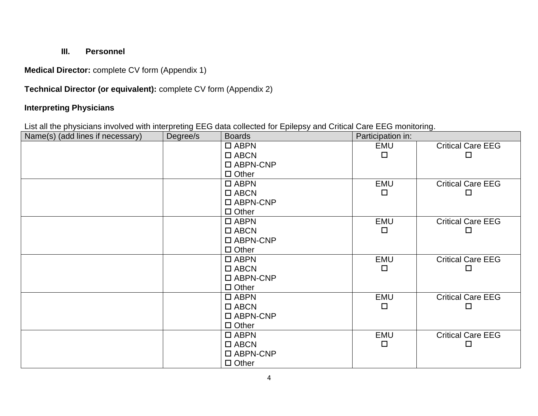## **III. Personnel**

**Medical Director:** complete CV form (Appendix 1)

## **Technical Director (or equivalent):** complete CV form (Appendix 2)

## **Interpreting Physicians**

List all the physicians involved with interpreting EEG data collected for Epilepsy and Critical Care EEG monitoring.

| Name(s) (add lines if necessary) | Degree/s | <b>Boards</b>      | Participation in: |                          |
|----------------------------------|----------|--------------------|-------------------|--------------------------|
|                                  |          | $\square$ ABPN     | EMU               | <b>Critical Care EEG</b> |
|                                  |          | $\Box$ ABCN        | □                 | □                        |
|                                  |          | $\square$ ABPN-CNP |                   |                          |
|                                  |          | $\Box$ Other       |                   |                          |
|                                  |          | $\square$ ABPN     | <b>EMU</b>        | <b>Critical Care EEG</b> |
|                                  |          | $\square$ ABCN     | $\Box$            | П                        |
|                                  |          | $\square$ ABPN-CNP |                   |                          |
|                                  |          | $\Box$ Other       |                   |                          |
|                                  |          | $\square$ ABPN     | <b>EMU</b>        | <b>Critical Care EEG</b> |
|                                  |          | $\square$ ABCN     | $\Box$            | □                        |
|                                  |          | $\square$ ABPN-CNP |                   |                          |
|                                  |          | $\Box$ Other       |                   |                          |
|                                  |          | $\square$ ABPN     | <b>EMU</b>        | <b>Critical Care EEG</b> |
|                                  |          | $\Box$ ABCN        | $\Box$            | □                        |
|                                  |          | $\square$ ABPN-CNP |                   |                          |
|                                  |          | $\Box$ Other       |                   |                          |
|                                  |          | $\Box$ ABPN        | <b>EMU</b>        | <b>Critical Care EEG</b> |
|                                  |          | $\square$ ABCN     | $\Box$            | $\Box$                   |
|                                  |          | $\square$ ABPN-CNP |                   |                          |
|                                  |          | $\Box$ Other       |                   |                          |
|                                  |          | $\square$ ABPN     | <b>EMU</b>        | <b>Critical Care EEG</b> |
|                                  |          | $\square$ ABCN     | $\Box$            | $\Box$                   |
|                                  |          | $\square$ ABPN-CNP |                   |                          |
|                                  |          | $\Box$ Other       |                   |                          |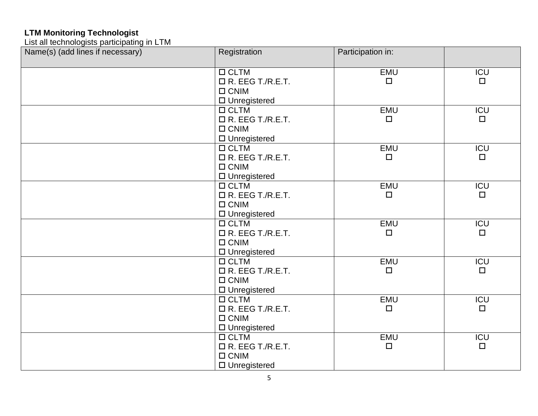#### **LTM Monitoring Technologist**

List all technologists participating in LTM

| Name(s) (add lines if necessary) | Registration            | Participation in: |                  |
|----------------------------------|-------------------------|-------------------|------------------|
|                                  |                         |                   |                  |
|                                  | $\Box$ CLTM             | EMU               | $\overline{ICU}$ |
|                                  | $\Box$ R. EEG T./R.E.T. | $\Box$            | $\Box$           |
|                                  | $\Box$ CNIM             |                   |                  |
|                                  | $\Box$ Unregistered     |                   |                  |
|                                  | $\Box$ CLTM             | EMU               | <b>ICU</b>       |
|                                  | $\Box$ R. EEG T./R.E.T. | $\Box$            | $\Box$           |
|                                  | $\Box$ CNIM             |                   |                  |
|                                  | $\square$ Unregistered  |                   |                  |
|                                  | $\Box$ CLTM             | EMU               | ICU              |
|                                  | $\Box$ R. EEG T./R.E.T. | $\Box$            | $\Box$           |
|                                  | $\Box$ CNIM             |                   |                  |
|                                  | $\square$ Unregistered  |                   |                  |
|                                  | $\Box$ CLTM             | <b>EMU</b>        | <b>ICU</b>       |
|                                  | $\Box$ R. EEG T./R.E.T. | $\Box$            | $\Box$           |
|                                  | $\Box$ CNIM             |                   |                  |
|                                  | $\Box$ Unregistered     |                   |                  |
|                                  | $\Box$ CLTM             | <b>EMU</b>        | ICU              |
|                                  | $\Box$ R. EEG T./R.E.T. | $\Box$            | $\Box$           |
|                                  | $\Box$ CNIM             |                   |                  |
|                                  | $\square$ Unregistered  |                   |                  |
|                                  | $\Box$ CLTM             | <b>EMU</b>        | ICU              |
|                                  | $\Box$ R. EEG T./R.E.T. | $\Box$            | $\Box$           |
|                                  | $\Box$ CNIM             |                   |                  |
|                                  | $\Box$ Unregistered     |                   |                  |
|                                  | $\Box$ CLTM             | EMU               | <b>ICU</b>       |
|                                  | $\Box$ R. EEG T./R.E.T. | $\Box$            | $\Box$           |
|                                  | $\Box$ CNIM             |                   |                  |
|                                  | $\square$ Unregistered  |                   |                  |
|                                  | $\Box$ CLTM             | EMU               | <b>ICU</b>       |
|                                  | $\Box$ R. EEG T./R.E.T. | $\Box$            | $\Box$           |
|                                  | $\Box$ CNIM             |                   |                  |
|                                  | $\Box$ Unregistered     |                   |                  |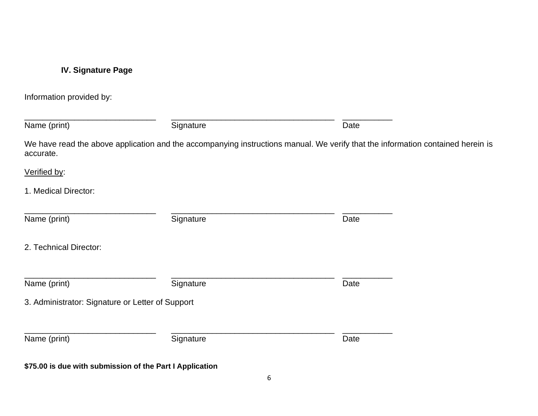# **IV. Signature Page**

Information provided by:

| Name (print)                                     | Signature                                                | Date                                                                                                                            |  |
|--------------------------------------------------|----------------------------------------------------------|---------------------------------------------------------------------------------------------------------------------------------|--|
| accurate.                                        |                                                          | We have read the above application and the accompanying instructions manual. We verify that the information contained herein is |  |
| Verified by:                                     |                                                          |                                                                                                                                 |  |
| 1. Medical Director:                             |                                                          |                                                                                                                                 |  |
| Name (print)                                     | Signature                                                | Date                                                                                                                            |  |
| 2. Technical Director:                           |                                                          |                                                                                                                                 |  |
| Name (print)                                     | Signature                                                | Date                                                                                                                            |  |
| 3. Administrator: Signature or Letter of Support |                                                          |                                                                                                                                 |  |
| Name (print)                                     | Signature                                                | Date                                                                                                                            |  |
|                                                  | \$75.00 is due with submission of the Part I Application |                                                                                                                                 |  |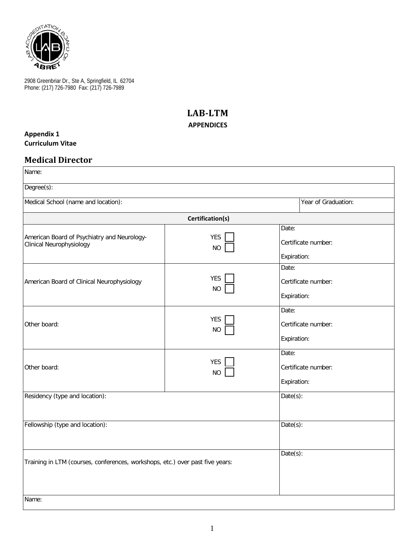

2908 Greenbriar Dr., Ste A, Springfield, IL 62704 Phone: (217) 726-7980 Fax: (217) 726-7989

## **LAB-LTM APPENDICES**

#### **Appendix 1 Curriculum Vitae**

### **Medical Director**

| Name:                                                                         |                         |                                             |
|-------------------------------------------------------------------------------|-------------------------|---------------------------------------------|
| Degree(s):                                                                    |                         |                                             |
| Medical School (name and location):                                           |                         | Year of Graduation:                         |
|                                                                               | Certification(s)        |                                             |
| American Board of Psychiatry and Neurology-<br>Clinical Neurophysiology       | <b>YES</b><br><b>NO</b> | Date:<br>Certificate number:<br>Expiration: |
| American Board of Clinical Neurophysiology                                    | <b>YES</b><br><b>NO</b> | Date:<br>Certificate number:<br>Expiration: |
| Other board:                                                                  | <b>YES</b><br><b>NO</b> | Date:<br>Certificate number:<br>Expiration: |
| Other board:                                                                  | <b>YES</b><br><b>NO</b> | Date:<br>Certificate number:<br>Expiration: |
| Residency (type and location):                                                |                         | Date(s):                                    |
| Fellowship (type and location):                                               |                         | $Date(s)$ :                                 |
| Training in LTM (courses, conferences, workshops, etc.) over past five years: |                         | Date(s):                                    |
| Name:                                                                         |                         |                                             |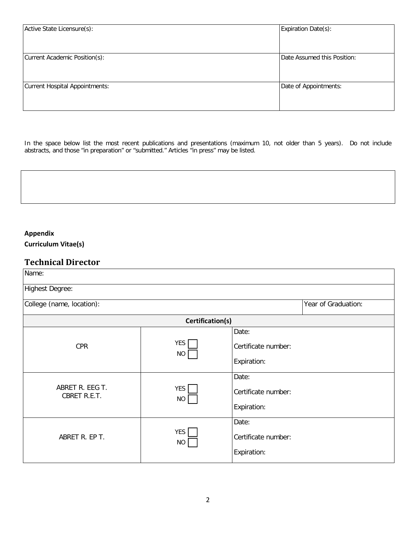| Active State Licensure(s):     | Expiration Date(s):         |
|--------------------------------|-----------------------------|
| Current Academic Position(s):  | Date Assumed this Position: |
| Current Hospital Appointments: | Date of Appointments:       |

In the space below list the most recent publications and presentations (maximum 10, not older than 5 years). Do not include abstracts, and those "in preparation" or "submitted." Articles "in press" may be listed.



**Curriculum Vitae(s)**

## **Technical Director**

| Name:                           |                         |                     |                     |
|---------------------------------|-------------------------|---------------------|---------------------|
| <b>Highest Degree:</b>          |                         |                     |                     |
| College (name, location):       |                         |                     | Year of Graduation: |
|                                 | Certification(s)        |                     |                     |
|                                 |                         | Date:               |                     |
| <b>CPR</b>                      | YES<br><b>NO</b>        | Certificate number: |                     |
|                                 |                         | Expiration:         |                     |
|                                 |                         | Date:               |                     |
| ABRET R. EEG T.<br>CBRET R.E.T. | <b>YES</b><br><b>NO</b> | Certificate number: |                     |
|                                 |                         | Expiration:         |                     |
|                                 |                         | Date:               |                     |
| ABRET R. EP T.                  | <b>YES</b><br><b>NO</b> | Certificate number: |                     |
|                                 |                         | Expiration:         |                     |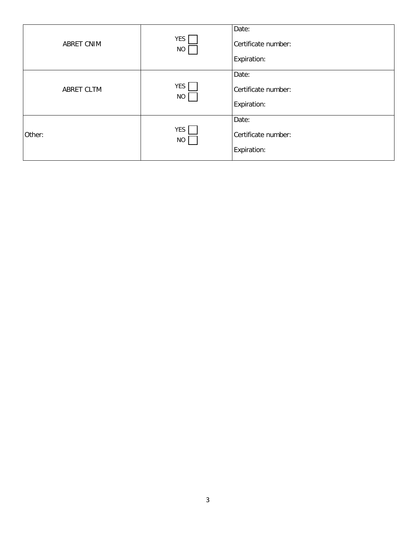| ABRET CNIM        | YES<br><b>NO</b>        | Date:<br>Certificate number:<br>Expiration: |
|-------------------|-------------------------|---------------------------------------------|
| <b>ABRET CLTM</b> | <b>YES</b><br><b>NO</b> | Date:<br>Certificate number:<br>Expiration: |
| Other:            | <b>YES</b><br>$NO$      | Date:<br>Certificate number:<br>Expiration: |